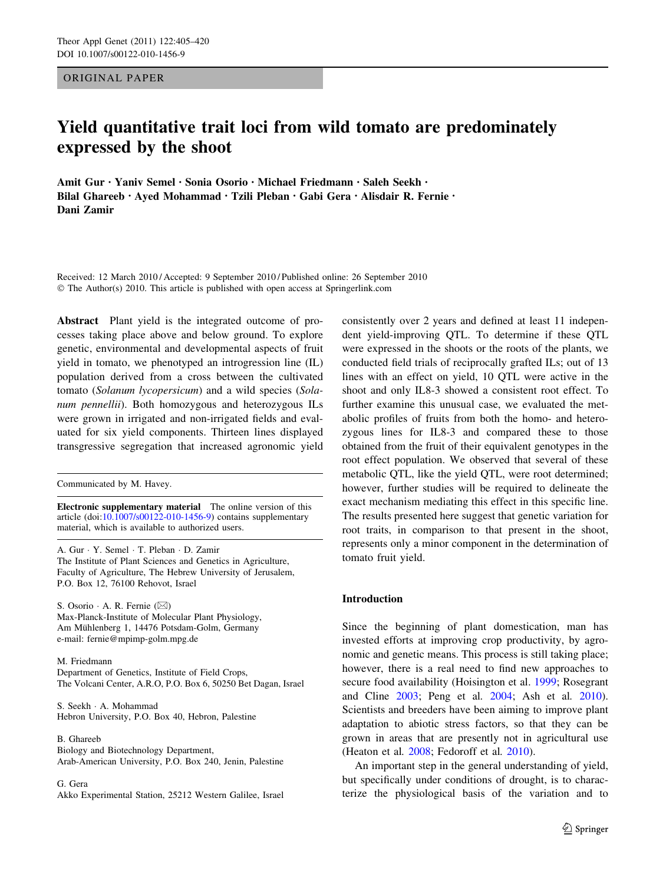ORIGINAL PAPER

# Yield quantitative trait loci from wild tomato are predominately expressed by the shoot

Amit Gur • Yaniv Semel • Sonia Osorio • Michael Friedmann • Saleh Seekh • Bilal Ghareeb • Ayed Mohammad • Tzili Pleban • Gabi Gera • Alisdair R. Fernie • Dani Zamir

Received: 12 March 2010 / Accepted: 9 September 2010 / Published online: 26 September 2010 © The Author(s) 2010. This article is published with open access at Springerlink.com

Abstract Plant yield is the integrated outcome of processes taking place above and below ground. To explore genetic, environmental and developmental aspects of fruit yield in tomato, we phenotyped an introgression line (IL) population derived from a cross between the cultivated tomato (Solanum lycopersicum) and a wild species (Solanum pennellii). Both homozygous and heterozygous ILs were grown in irrigated and non-irrigated fields and evaluated for six yield components. Thirteen lines displayed transgressive segregation that increased agronomic yield

Communicated by M. Havey.

Electronic supplementary material The online version of this article (doi:[10.1007/s00122-010-1456-9\)](http://dx.doi.org/10.1007/s00122-010-1456-9) contains supplementary material, which is available to authorized users.

A. Gur - Y. Semel - T. Pleban - D. Zamir The Institute of Plant Sciences and Genetics in Agriculture, Faculty of Agriculture, The Hebrew University of Jerusalem, P.O. Box 12, 76100 Rehovot, Israel

S. Osorio · A. R. Fernie (⊠) Max-Planck-Institute of Molecular Plant Physiology, Am Mühlenberg 1, 14476 Potsdam-Golm, Germany e-mail: fernie@mpimp-golm.mpg.de

M. Friedmann

Department of Genetics, Institute of Field Crops, The Volcani Center, A.R.O, P.O. Box 6, 50250 Bet Dagan, Israel

S. Seekh - A. Mohammad Hebron University, P.O. Box 40, Hebron, Palestine

B. Ghareeb Biology and Biotechnology Department,

Arab-American University, P.O. Box 240, Jenin, Palestine

G. Gera Akko Experimental Station, 25212 Western Galilee, Israel consistently over 2 years and defined at least 11 independent yield-improving QTL. To determine if these QTL were expressed in the shoots or the roots of the plants, we conducted field trials of reciprocally grafted ILs; out of 13 lines with an effect on yield, 10 QTL were active in the shoot and only IL8-3 showed a consistent root effect. To further examine this unusual case, we evaluated the metabolic profiles of fruits from both the homo- and heterozygous lines for IL8-3 and compared these to those obtained from the fruit of their equivalent genotypes in the root effect population. We observed that several of these metabolic QTL, like the yield QTL, were root determined; however, further studies will be required to delineate the exact mechanism mediating this effect in this specific line. The results presented here suggest that genetic variation for root traits, in comparison to that present in the shoot, represents only a minor component in the determination of tomato fruit yield.

# Introduction

Since the beginning of plant domestication, man has invested efforts at improving crop productivity, by agronomic and genetic means. This process is still taking place; however, there is a real need to find new approaches to secure food availability (Hoisington et al. [1999;](#page-14-0) Rosegrant and Cline [2003](#page-15-0); Peng et al. [2004](#page-15-0); Ash et al. [2010](#page-14-0)). Scientists and breeders have been aiming to improve plant adaptation to abiotic stress factors, so that they can be grown in areas that are presently not in agricultural use (Heaton et al. [2008](#page-14-0); Fedoroff et al. [2010](#page-14-0)).

An important step in the general understanding of yield, but specifically under conditions of drought, is to characterize the physiological basis of the variation and to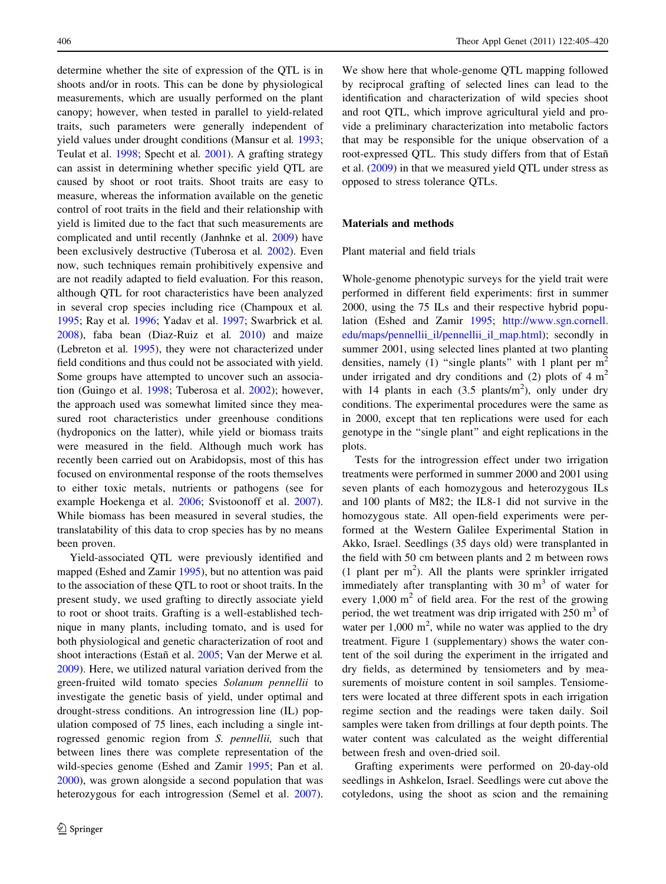determine whether the site of expression of the QTL is in shoots and/or in roots. This can be done by physiological measurements, which are usually performed on the plant canopy; however, when tested in parallel to yield-related traits, such parameters were generally independent of yield values under drought conditions (Mansur et al. [1993](#page-14-0); Teulat et al. [1998](#page-15-0); Specht et al. [2001](#page-15-0)). A grafting strategy can assist in determining whether specific yield QTL are caused by shoot or root traits. Shoot traits are easy to measure, whereas the information available on the genetic control of root traits in the field and their relationship with yield is limited due to the fact that such measurements are complicated and until recently (Janhnke et al. [2009](#page-14-0)) have been exclusively destructive (Tuberosa et al. [2002](#page-15-0)). Even now, such techniques remain prohibitively expensive and are not readily adapted to field evaluation. For this reason, although QTL for root characteristics have been analyzed in several crop species including rice (Champoux et al. [1995;](#page-14-0) Ray et al. [1996;](#page-15-0) Yadav et al. [1997;](#page-15-0) Swarbrick et al. [2008\)](#page-15-0), faba bean (Diaz-Ruiz et al. [2010](#page-14-0)) and maize (Lebreton et al. [1995\)](#page-14-0), they were not characterized under field conditions and thus could not be associated with yield. Some groups have attempted to uncover such an association (Guingo et al. [1998](#page-14-0); Tuberosa et al. [2002\)](#page-15-0); however, the approach used was somewhat limited since they measured root characteristics under greenhouse conditions (hydroponics on the latter), while yield or biomass traits were measured in the field. Although much work has recently been carried out on Arabidopsis, most of this has focused on environmental response of the roots themselves to either toxic metals, nutrients or pathogens (see for example Hoekenga et al. [2006;](#page-14-0) Svistoonoff et al. [2007](#page-15-0)). While biomass has been measured in several studies, the translatability of this data to crop species has by no means been proven.

Yield-associated QTL were previously identified and mapped (Eshed and Zamir [1995\)](#page-14-0), but no attention was paid to the association of these QTL to root or shoot traits. In the present study, we used grafting to directly associate yield to root or shoot traits. Grafting is a well-established technique in many plants, including tomato, and is used for both physiological and genetic characterization of root and shoot interactions (Estañ et al. [2005;](#page-14-0) Van der Merwe et al. [2009\)](#page-15-0). Here, we utilized natural variation derived from the green-fruited wild tomato species Solanum pennellii to investigate the genetic basis of yield, under optimal and drought-stress conditions. An introgression line (IL) population composed of 75 lines, each including a single introgressed genomic region from S. pennellii, such that between lines there was complete representation of the wild-species genome (Eshed and Zamir [1995](#page-14-0); Pan et al. [2000\)](#page-15-0), was grown alongside a second population that was heterozygous for each introgression (Semel et al. [2007](#page-15-0)).

We show here that whole-genome OTL mapping followed by reciprocal grafting of selected lines can lead to the identification and characterization of wild species shoot and root QTL, which improve agricultural yield and provide a preliminary characterization into metabolic factors that may be responsible for the unique observation of a root-expressed QTL. This study differs from that of Estañ et al. ([2009\)](#page-14-0) in that we measured yield QTL under stress as opposed to stress tolerance QTLs.

## Materials and methods

## Plant material and field trials

Whole-genome phenotypic surveys for the yield trait were performed in different field experiments: first in summer 2000, using the 75 ILs and their respective hybrid population (Eshed and Zamir [1995;](#page-14-0) [http://www.sgn.cornell.](http://www.sgn.cornell.edu/maps/pennellii_il/pennellii_il_map.html) [edu/maps/pennellii\\_il/pennellii\\_il\\_map.html\)](http://www.sgn.cornell.edu/maps/pennellii_il/pennellii_il_map.html); secondly in summer 2001, using selected lines planted at two planting densities, namely (1) "single plants" with 1 plant per  $m<sup>2</sup>$ under irrigated and dry conditions and (2) plots of  $4 \text{ m}^2$ with 14 plants in each  $(3.5 \text{ plants/m}^2)$ , only under dry conditions. The experimental procedures were the same as in 2000, except that ten replications were used for each genotype in the ''single plant'' and eight replications in the plots.

Tests for the introgression effect under two irrigation treatments were performed in summer 2000 and 2001 using seven plants of each homozygous and heterozygous ILs and 100 plants of M82; the IL8-1 did not survive in the homozygous state. All open-field experiments were performed at the Western Galilee Experimental Station in Akko, Israel. Seedlings (35 days old) were transplanted in the field with 50 cm between plants and 2 m between rows (1 plant per  $m<sup>2</sup>$ ). All the plants were sprinkler irrigated immediately after transplanting with  $30 \text{ m}^3$  of water for every  $1,000 \text{ m}^2$  of field area. For the rest of the growing period, the wet treatment was drip irrigated with  $250 \text{ m}^3$  of water per  $1,000 \text{ m}^2$ , while no water was applied to the dry treatment. Figure 1 (supplementary) shows the water content of the soil during the experiment in the irrigated and dry fields, as determined by tensiometers and by measurements of moisture content in soil samples. Tensiometers were located at three different spots in each irrigation regime section and the readings were taken daily. Soil samples were taken from drillings at four depth points. The water content was calculated as the weight differential between fresh and oven-dried soil.

Grafting experiments were performed on 20-day-old seedlings in Ashkelon, Israel. Seedlings were cut above the cotyledons, using the shoot as scion and the remaining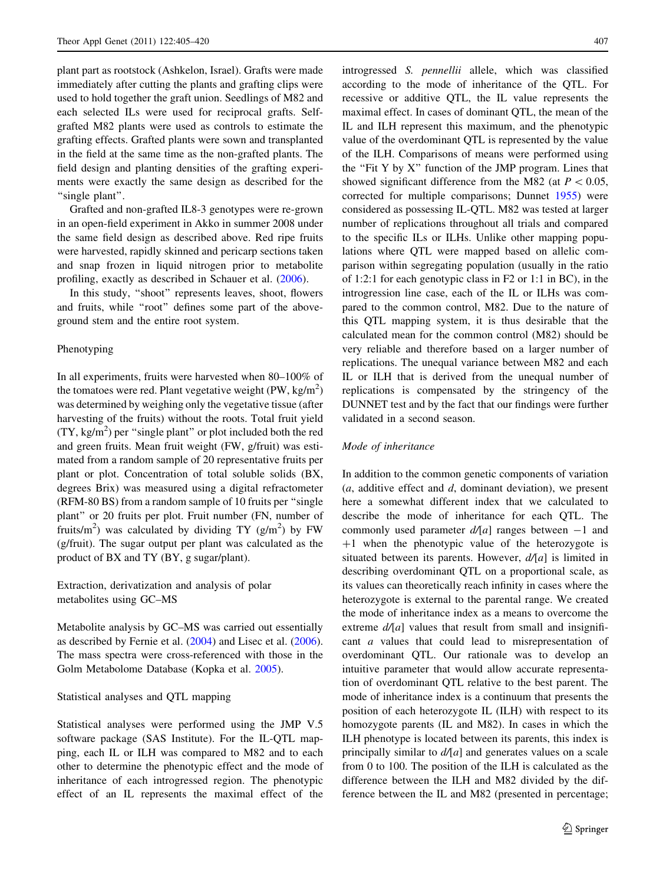plant part as rootstock (Ashkelon, Israel). Grafts were made immediately after cutting the plants and grafting clips were used to hold together the graft union. Seedlings of M82 and each selected ILs were used for reciprocal grafts. Selfgrafted M82 plants were used as controls to estimate the grafting effects. Grafted plants were sown and transplanted in the field at the same time as the non-grafted plants. The field design and planting densities of the grafting experiments were exactly the same design as described for the "single plant".

Grafted and non-grafted IL8-3 genotypes were re-grown in an open-field experiment in Akko in summer 2008 under the same field design as described above. Red ripe fruits were harvested, rapidly skinned and pericarp sections taken and snap frozen in liquid nitrogen prior to metabolite profiling, exactly as described in Schauer et al. ([2006\)](#page-15-0).

In this study, ''shoot'' represents leaves, shoot, flowers and fruits, while ''root'' defines some part of the aboveground stem and the entire root system.

## Phenotyping

In all experiments, fruits were harvested when 80–100% of the tomatoes were red. Plant vegetative weight (PW,  $\text{kg/m}^2$ ) was determined by weighing only the vegetative tissue (after harvesting of the fruits) without the roots. Total fruit yield  $(TY, kg/m<sup>2</sup>)$  per "single plant" or plot included both the red and green fruits. Mean fruit weight (FW, g/fruit) was estimated from a random sample of 20 representative fruits per plant or plot. Concentration of total soluble solids (BX, degrees Brix) was measured using a digital refractometer (RFM-80 BS) from a random sample of 10 fruits per ''single plant'' or 20 fruits per plot. Fruit number (FN, number of fruits/m<sup>2</sup>) was calculated by dividing TY ( $g/m^2$ ) by FW (g/fruit). The sugar output per plant was calculated as the product of BX and TY (BY, g sugar/plant).

Extraction, derivatization and analysis of polar metabolites using GC–MS

Metabolite analysis by GC–MS was carried out essentially as described by Fernie et al. ([2004\)](#page-14-0) and Lisec et al. [\(2006](#page-14-0)). The mass spectra were cross-referenced with those in the Golm Metabolome Database (Kopka et al. [2005](#page-14-0)).

## Statistical analyses and QTL mapping

Statistical analyses were performed using the JMP V.5 software package (SAS Institute). For the IL-QTL mapping, each IL or ILH was compared to M82 and to each other to determine the phenotypic effect and the mode of inheritance of each introgressed region. The phenotypic effect of an IL represents the maximal effect of the introgressed S. pennellii allele, which was classified according to the mode of inheritance of the QTL. For recessive or additive QTL, the IL value represents the maximal effect. In cases of dominant QTL, the mean of the IL and ILH represent this maximum, and the phenotypic value of the overdominant QTL is represented by the value of the ILH. Comparisons of means were performed using the "Fit Y by  $X$ " function of the JMP program. Lines that showed significant difference from the M82 (at  $P < 0.05$ , corrected for multiple comparisons; Dunnet [1955](#page-14-0)) were considered as possessing IL-QTL. M82 was tested at larger number of replications throughout all trials and compared to the specific ILs or ILHs. Unlike other mapping populations where QTL were mapped based on allelic comparison within segregating population (usually in the ratio of 1:2:1 for each genotypic class in F2 or 1:1 in BC), in the introgression line case, each of the IL or ILHs was compared to the common control, M82. Due to the nature of this QTL mapping system, it is thus desirable that the calculated mean for the common control (M82) should be very reliable and therefore based on a larger number of replications. The unequal variance between M82 and each IL or ILH that is derived from the unequal number of replications is compensated by the stringency of the DUNNET test and by the fact that our findings were further validated in a second season.

#### Mode of inheritance

In addition to the common genetic components of variation  $(a,$  additive effect and  $d$ , dominant deviation), we present here a somewhat different index that we calculated to describe the mode of inheritance for each QTL. The commonly used parameter  $d/a$  ranges between  $-1$  and  $+1$  when the phenotypic value of the heterozygote is situated between its parents. However,  $d/[a]$  is limited in describing overdominant QTL on a proportional scale, as its values can theoretically reach infinity in cases where the heterozygote is external to the parental range. We created the mode of inheritance index as a means to overcome the extreme  $d/a$  values that result from small and insignificant a values that could lead to misrepresentation of overdominant QTL. Our rationale was to develop an intuitive parameter that would allow accurate representation of overdominant QTL relative to the best parent. The mode of inheritance index is a continuum that presents the position of each heterozygote IL (ILH) with respect to its homozygote parents (IL and M82). In cases in which the ILH phenotype is located between its parents, this index is principally similar to  $d/a$  and generates values on a scale from 0 to 100. The position of the ILH is calculated as the difference between the ILH and M82 divided by the difference between the IL and M82 (presented in percentage;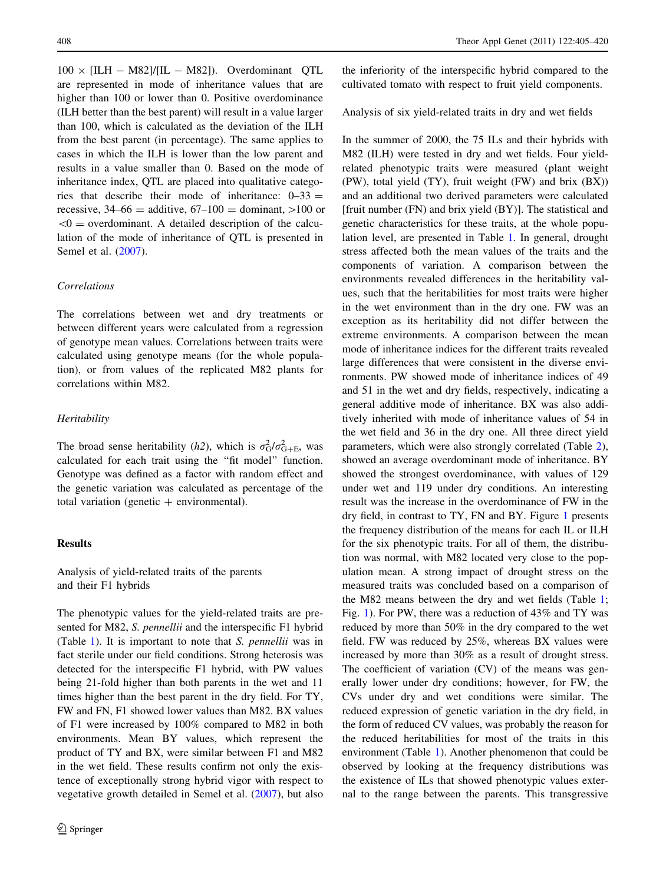$100 \times$  [ILH - M82]/[IL - M82]). Overdominant QTL are represented in mode of inheritance values that are higher than 100 or lower than 0. Positive overdominance (ILH better than the best parent) will result in a value larger than 100, which is calculated as the deviation of the ILH from the best parent (in percentage). The same applies to cases in which the ILH is lower than the low parent and results in a value smaller than 0. Based on the mode of inheritance index, QTL are placed into qualitative categories that describe their mode of inheritance:  $0-33 =$ recessive,  $34-66 =$  additive,  $67-100 =$  dominant,  $>100$  or  $< 0$  = overdominant. A detailed description of the calculation of the mode of inheritance of QTL is presented in Semel et al. [\(2007](#page-15-0)).

# Correlations

The correlations between wet and dry treatments or between different years were calculated from a regression of genotype mean values. Correlations between traits were calculated using genotype means (for the whole population), or from values of the replicated M82 plants for correlations within M82.

# **Heritability**

The broad sense heritability (h2), which is  $\sigma_G^2 / \sigma_{G+E}^2$ , was calculated for each trait using the ''fit model'' function. Genotype was defined as a factor with random effect and the genetic variation was calculated as percentage of the total variation (genetic  $+$  environmental).

# Results

Analysis of yield-related traits of the parents and their F1 hybrids

The phenotypic values for the yield-related traits are presented for M82, S. pennellii and the interspecific F1 hybrid (Table [1](#page-4-0)). It is important to note that S. pennellii was in fact sterile under our field conditions. Strong heterosis was detected for the interspecific F1 hybrid, with PW values being 21-fold higher than both parents in the wet and 11 times higher than the best parent in the dry field. For TY, FW and FN, F1 showed lower values than M82. BX values of F1 were increased by 100% compared to M82 in both environments. Mean BY values, which represent the product of TY and BX, were similar between F1 and M82 in the wet field. These results confirm not only the existence of exceptionally strong hybrid vigor with respect to vegetative growth detailed in Semel et al. [\(2007](#page-15-0)), but also

the inferiority of the interspecific hybrid compared to the cultivated tomato with respect to fruit yield components.

Analysis of six yield-related traits in dry and wet fields

In the summer of 2000, the 75 ILs and their hybrids with M82 (ILH) were tested in dry and wet fields. Four yieldrelated phenotypic traits were measured (plant weight (PW), total yield (TY), fruit weight (FW) and brix (BX)) and an additional two derived parameters were calculated [fruit number  $(FN)$  and brix yield  $(BY)$ ]. The statistical and genetic characteristics for these traits, at the whole population level, are presented in Table [1](#page-4-0). In general, drought stress affected both the mean values of the traits and the components of variation. A comparison between the environments revealed differences in the heritability values, such that the heritabilities for most traits were higher in the wet environment than in the dry one. FW was an exception as its heritability did not differ between the extreme environments. A comparison between the mean mode of inheritance indices for the different traits revealed large differences that were consistent in the diverse environments. PW showed mode of inheritance indices of 49 and 51 in the wet and dry fields, respectively, indicating a general additive mode of inheritance. BX was also additively inherited with mode of inheritance values of 54 in the wet field and 36 in the dry one. All three direct yield parameters, which were also strongly correlated (Table [2](#page-5-0)), showed an average overdominant mode of inheritance. BY showed the strongest overdominance, with values of 129 under wet and 119 under dry conditions. An interesting result was the increase in the overdominance of FW in the dry field, in contrast to TY, FN and BY. Figure [1](#page-6-0) presents the frequency distribution of the means for each IL or ILH for the six phenotypic traits. For all of them, the distribution was normal, with M82 located very close to the population mean. A strong impact of drought stress on the measured traits was concluded based on a comparison of the M82 means between the dry and wet fields (Table [1](#page-4-0); Fig. [1](#page-6-0)). For PW, there was a reduction of 43% and TY was reduced by more than 50% in the dry compared to the wet field. FW was reduced by 25%, whereas BX values were increased by more than 30% as a result of drought stress. The coefficient of variation (CV) of the means was generally lower under dry conditions; however, for FW, the CVs under dry and wet conditions were similar. The reduced expression of genetic variation in the dry field, in the form of reduced CV values, was probably the reason for the reduced heritabilities for most of the traits in this environment (Table [1\)](#page-4-0). Another phenomenon that could be observed by looking at the frequency distributions was the existence of ILs that showed phenotypic values external to the range between the parents. This transgressive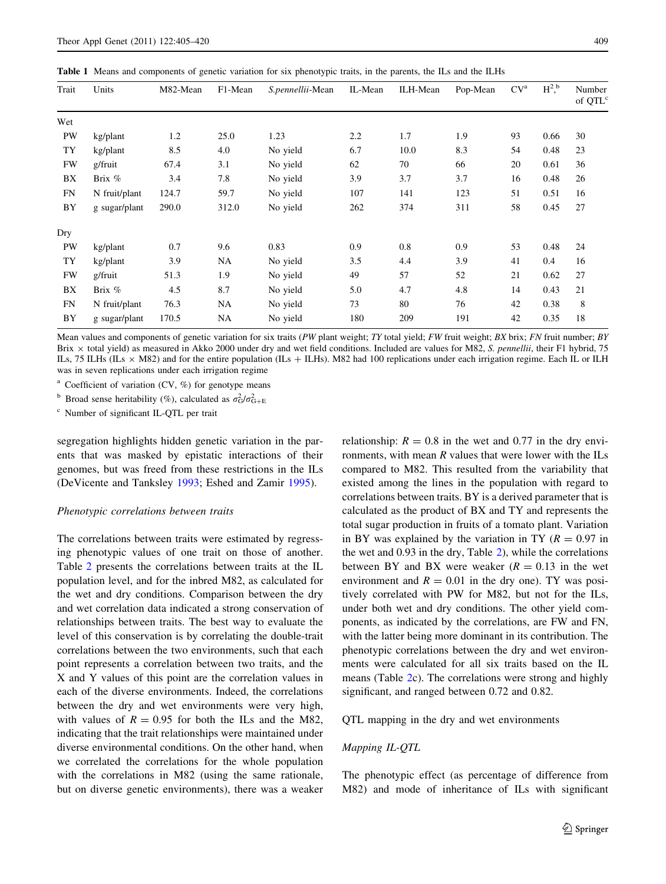<span id="page-4-0"></span>Table 1 Means and components of genetic variation for six phenotypic traits, in the parents, the ILs and the ILHs

| Trait     | Units         | M82-Mean | F1-Mean<br>S.pennellii-Mean |          | ILH-Mean<br>IL-Mean |      | Pop-Mean | CV <sup>a</sup> | $H^2$ , b | Number<br>of QTL <sup>c</sup> |  |
|-----------|---------------|----------|-----------------------------|----------|---------------------|------|----------|-----------------|-----------|-------------------------------|--|
| Wet       |               |          |                             |          |                     |      |          |                 |           |                               |  |
| PW        | kg/plant      | 1.2      | 25.0                        | 1.23     | 2.2                 | 1.7  | 1.9      | 93              | 0.66      | 30                            |  |
| TY        | kg/plant      | 8.5      | 4.0                         | No yield | 6.7                 | 10.0 | 8.3      | 54              | 0.48      | 23                            |  |
| <b>FW</b> | g/fruit       | 67.4     | 3.1                         | No yield | 62                  | 70   | 66       | 20              | 0.61      | 36                            |  |
| BX        | Brix %        | 3.4      | 7.8                         | No yield | 3.9                 | 3.7  | 3.7      | 16              | 0.48      | 26                            |  |
| FN        | N fruit/plant | 124.7    | 59.7                        | No yield | 107                 | 141  | 123      | 51              | 0.51      | 16                            |  |
| BY        | g sugar/plant | 290.0    | 312.0                       | No yield | 262                 | 374  | 311      | 58              | 0.45      | 27                            |  |
| Dry       |               |          |                             |          |                     |      |          |                 |           |                               |  |
| PW        | kg/plant      | 0.7      | 9.6                         | 0.83     | 0.9                 | 0.8  | 0.9      | 53              | 0.48      | 24                            |  |
| TY        | kg/plant      | 3.9      | NA                          | No yield | 3.5                 | 4.4  | 3.9      | 41              | 0.4       | 16                            |  |
| <b>FW</b> | g/fruit       | 51.3     | 1.9                         | No yield | 49                  | 57   | 52       | 21              | 0.62      | 27                            |  |
| BX        | Brix $%$      | 4.5      | 8.7                         | No yield | 5.0                 | 4.7  | 4.8      | 14              | 0.43      | 21                            |  |
| FN        | N fruit/plant | 76.3     | <b>NA</b>                   | No yield | 73                  | 80   | 76       | 42              | 0.38      | 8                             |  |
| BY        | g sugar/plant | 170.5    | NA                          | No yield | 180                 | 209  | 191      | 42              | 0.35      | 18                            |  |

Mean values and components of genetic variation for six traits (PW plant weight; TY total yield; FW fruit weight; BX brix; FN fruit number; BY Brix x total yield) as measured in Akko 2000 under dry and wet field conditions. Included are values for M82, S. pennellii, their F1 hybrid, 75 ILs, 75 ILHs (ILs  $\times$  M82) and for the entire population (ILs  $+$  ILHs). M82 had 100 replications under each irrigation regime. Each IL or ILH was in seven replications under each irrigation regime

<sup>a</sup> Coefficient of variation (CV,  $\%$ ) for genotype means

<sup>b</sup> Broad sense heritability (%), calculated as  $\sigma_G^2 / \sigma_{G+E}^2$ 

<sup>c</sup> Number of significant IL-QTL per trait

segregation highlights hidden genetic variation in the parents that was masked by epistatic interactions of their genomes, but was freed from these restrictions in the ILs (DeVicente and Tanksley [1993](#page-14-0); Eshed and Zamir [1995\)](#page-14-0).

## Phenotypic correlations between traits

The correlations between traits were estimated by regressing phenotypic values of one trait on those of another. Table [2](#page-5-0) presents the correlations between traits at the IL population level, and for the inbred M82, as calculated for the wet and dry conditions. Comparison between the dry and wet correlation data indicated a strong conservation of relationships between traits. The best way to evaluate the level of this conservation is by correlating the double-trait correlations between the two environments, such that each point represents a correlation between two traits, and the X and Y values of this point are the correlation values in each of the diverse environments. Indeed, the correlations between the dry and wet environments were very high, with values of  $R = 0.95$  for both the ILs and the M82, indicating that the trait relationships were maintained under diverse environmental conditions. On the other hand, when we correlated the correlations for the whole population with the correlations in M82 (using the same rationale, but on diverse genetic environments), there was a weaker

relationship:  $R = 0.8$  in the wet and 0.77 in the dry environments, with mean  $R$  values that were lower with the ILs compared to M82. This resulted from the variability that existed among the lines in the population with regard to correlations between traits. BY is a derived parameter that is calculated as the product of BX and TY and represents the total sugar production in fruits of a tomato plant. Variation in BY was explained by the variation in TY ( $R = 0.97$  in the wet and 0.93 in the dry, Table [2](#page-5-0)), while the correlations between BY and BX were weaker  $(R = 0.13$  in the wet environment and  $R = 0.01$  in the dry one). TY was positively correlated with PW for M82, but not for the ILs, under both wet and dry conditions. The other yield components, as indicated by the correlations, are FW and FN, with the latter being more dominant in its contribution. The phenotypic correlations between the dry and wet environments were calculated for all six traits based on the IL means (Table [2](#page-5-0)c). The correlations were strong and highly significant, and ranged between 0.72 and 0.82.

QTL mapping in the dry and wet environments

## Mapping IL-QTL

The phenotypic effect (as percentage of difference from M82) and mode of inheritance of ILs with significant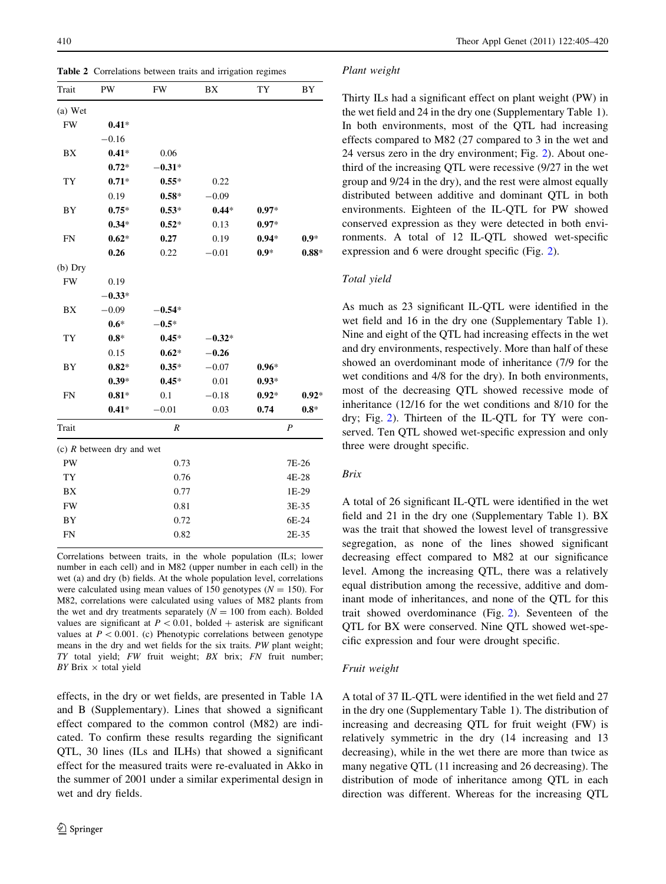<span id="page-5-0"></span>Table 2 Correlations between traits and irrigation regimes

| Trait     | PW                          | FW            | BX       | TY      | BY               |  |  |  |
|-----------|-----------------------------|---------------|----------|---------|------------------|--|--|--|
| (a) Wet   |                             |               |          |         |                  |  |  |  |
| <b>FW</b> | $0.41*$                     |               |          |         |                  |  |  |  |
|           | $-0.16$                     |               |          |         |                  |  |  |  |
| BX        | $0.41*$                     | 0.06          |          |         |                  |  |  |  |
|           | $0.72*$                     | $-0.31*$      |          |         |                  |  |  |  |
| TY        | $0.71*$                     | $0.55*$       | 0.22     |         |                  |  |  |  |
|           | 0.19                        | $0.58*$       | $-0.09$  |         |                  |  |  |  |
| BY        | $0.75*$                     | $0.53*$       | $0.44*$  | $0.97*$ |                  |  |  |  |
|           | $0.34*$                     | $0.52*$       | 0.13     | $0.97*$ |                  |  |  |  |
| <b>FN</b> | $0.62*$                     | 0.27          | 0.19     | $0.94*$ | $0.9*$           |  |  |  |
|           | 0.26                        | 0.22          | $-0.01$  | $0.9*$  | $0.88*$          |  |  |  |
| $(b)$ Dry |                             |               |          |         |                  |  |  |  |
| <b>FW</b> | 0.19                        |               |          |         |                  |  |  |  |
|           | $-0.33*$                    |               |          |         |                  |  |  |  |
| BX        | $-0.09$                     | $-0.54*$      |          |         |                  |  |  |  |
|           | $0.6*$                      | $-0.5*$       |          |         |                  |  |  |  |
| TY        | $0.8*$                      | $0.45*$       | $-0.32*$ |         |                  |  |  |  |
|           | 0.15                        | $0.62*$       | $-0.26$  |         |                  |  |  |  |
| BY        | $0.82*$                     | $0.35*$       | $-0.07$  | $0.96*$ |                  |  |  |  |
|           | $0.39*$                     | $0.45*$       | 0.01     | $0.93*$ |                  |  |  |  |
| <b>FN</b> | $0.81*$                     | 0.1           | $-0.18$  | $0.92*$ | $0.92*$          |  |  |  |
|           | $0.41*$                     | $-0.01$       | 0.03     | 0.74    | $0.8*$           |  |  |  |
| Trait     |                             | R             |          |         | $\boldsymbol{P}$ |  |  |  |
|           | (c) $R$ between dry and wet |               |          |         |                  |  |  |  |
| PW        |                             | 0.73          |          |         | 7E-26            |  |  |  |
| TY        |                             | 0.76<br>4E-28 |          |         |                  |  |  |  |
| BX        |                             | 0.77          |          | 1E-29   |                  |  |  |  |
| <b>FW</b> |                             | 0.81          |          | 3E-35   |                  |  |  |  |
| BY        |                             | 0.72          |          | 6E-24   |                  |  |  |  |
| <b>FN</b> |                             | 0.82          |          |         | 2E-35            |  |  |  |

Correlations between traits, in the whole population (ILs; lower number in each cell) and in M82 (upper number in each cell) in the wet (a) and dry (b) fields. At the whole population level, correlations were calculated using mean values of 150 genotypes ( $N = 150$ ). For M82, correlations were calculated using values of M82 plants from the wet and dry treatments separately  $(N = 100$  from each). Bolded values are significant at  $P < 0.01$ , bolded + asterisk are significant values at  $P < 0.001$ . (c) Phenotypic correlations between genotype means in the dry and wet fields for the six traits. PW plant weight; TY total yield; FW fruit weight; BX brix; FN fruit number;  $BY$  Brix  $\times$  total yield

effects, in the dry or wet fields, are presented in Table 1A and B (Supplementary). Lines that showed a significant effect compared to the common control (M82) are indicated. To confirm these results regarding the significant QTL, 30 lines (ILs and ILHs) that showed a significant effect for the measured traits were re-evaluated in Akko in the summer of 2001 under a similar experimental design in wet and dry fields.

#### Plant weight

Thirty ILs had a significant effect on plant weight (PW) in the wet field and 24 in the dry one (Supplementary Table 1). In both environments, most of the QTL had increasing effects compared to M82 (27 compared to 3 in the wet and 24 versus zero in the dry environment; Fig. [2\)](#page-7-0). About onethird of the increasing QTL were recessive (9/27 in the wet group and 9/24 in the dry), and the rest were almost equally distributed between additive and dominant QTL in both environments. Eighteen of the IL-QTL for PW showed conserved expression as they were detected in both environments. A total of 12 IL-QTL showed wet-specific expression and 6 were drought specific (Fig. [2\)](#page-7-0).

#### Total yield

As much as 23 significant IL-QTL were identified in the wet field and 16 in the dry one (Supplementary Table 1). Nine and eight of the QTL had increasing effects in the wet and dry environments, respectively. More than half of these showed an overdominant mode of inheritance (7/9 for the wet conditions and 4/8 for the dry). In both environments, most of the decreasing QTL showed recessive mode of inheritance (12/16 for the wet conditions and 8/10 for the dry; Fig. [2](#page-7-0)). Thirteen of the IL-QTL for TY were conserved. Ten QTL showed wet-specific expression and only three were drought specific.

# Brix

A total of 26 significant IL-QTL were identified in the wet field and 21 in the dry one (Supplementary Table 1). BX was the trait that showed the lowest level of transgressive segregation, as none of the lines showed significant decreasing effect compared to M82 at our significance level. Among the increasing QTL, there was a relatively equal distribution among the recessive, additive and dominant mode of inheritances, and none of the QTL for this trait showed overdominance (Fig. [2](#page-7-0)). Seventeen of the QTL for BX were conserved. Nine QTL showed wet-specific expression and four were drought specific.

## Fruit weight

A total of 37 IL-QTL were identified in the wet field and 27 in the dry one (Supplementary Table 1). The distribution of increasing and decreasing QTL for fruit weight (FW) is relatively symmetric in the dry (14 increasing and 13 decreasing), while in the wet there are more than twice as many negative QTL (11 increasing and 26 decreasing). The distribution of mode of inheritance among QTL in each direction was different. Whereas for the increasing QTL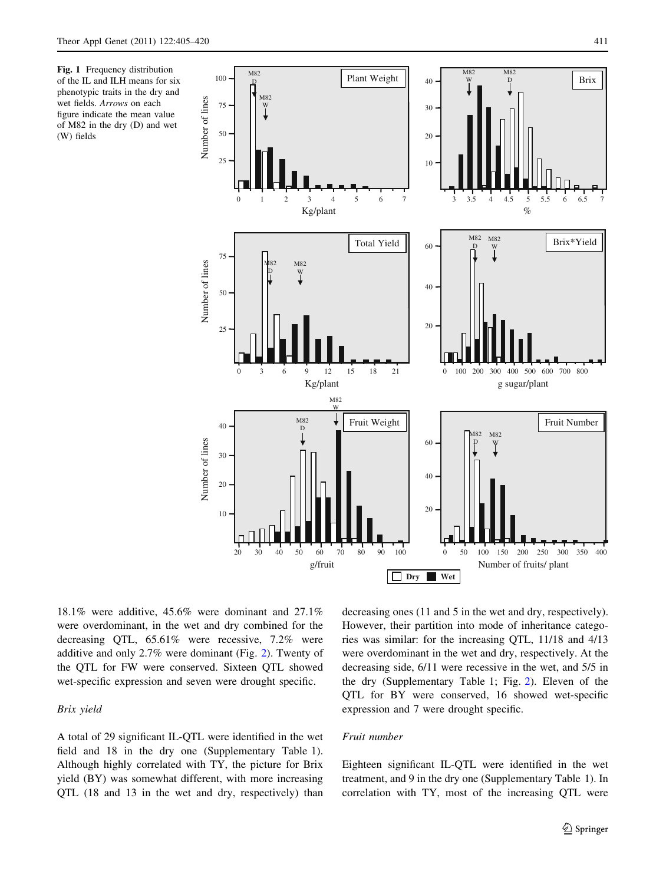<span id="page-6-0"></span>Fig. 1 Frequency distribution of the IL and ILH means for six phenotypic traits in the dry and wet fields. Arrows on each figure indicate the mean value of M82 in the dry (D) and wet (W) fields



18.1% were additive, 45.6% were dominant and 27.1% were overdominant, in the wet and dry combined for the decreasing QTL, 65.61% were recessive, 7.2% were additive and only 2.7% were dominant (Fig. [2\)](#page-7-0). Twenty of the QTL for FW were conserved. Sixteen QTL showed wet-specific expression and seven were drought specific.

Brix yield

A total of 29 significant IL-QTL were identified in the wet field and 18 in the dry one (Supplementary Table 1). Although highly correlated with TY, the picture for Brix yield (BY) was somewhat different, with more increasing QTL (18 and 13 in the wet and dry, respectively) than decreasing ones (11 and 5 in the wet and dry, respectively). However, their partition into mode of inheritance categories was similar: for the increasing QTL, 11/18 and 4/13 were overdominant in the wet and dry, respectively. At the decreasing side, 6/11 were recessive in the wet, and 5/5 in the dry (Supplementary Table 1; Fig. [2](#page-7-0)). Eleven of the QTL for BY were conserved, 16 showed wet-specific expression and 7 were drought specific.

# Fruit number

Eighteen significant IL-QTL were identified in the wet treatment, and 9 in the dry one (Supplementary Table 1). In correlation with TY, most of the increasing QTL were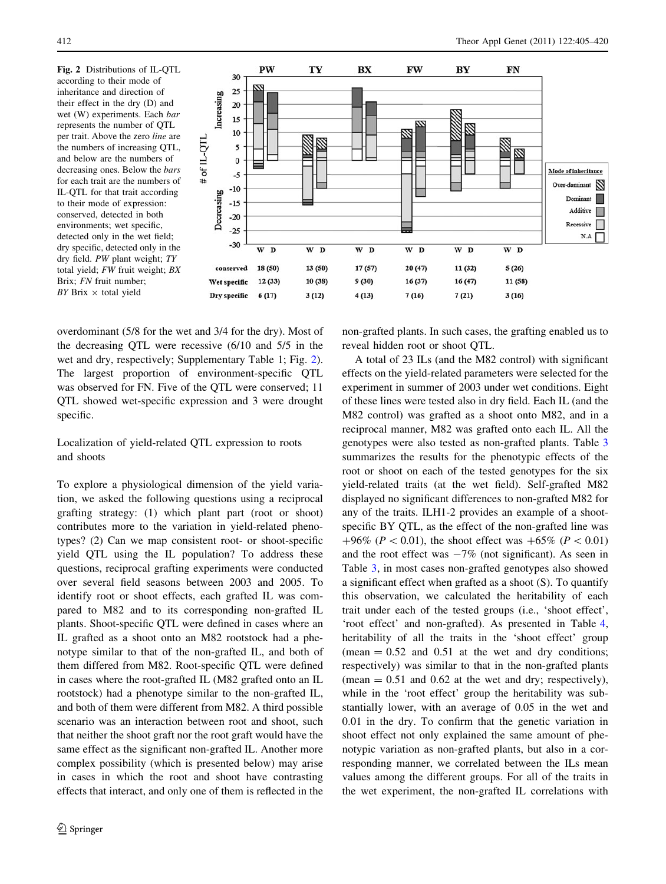<span id="page-7-0"></span>Fig. 2 Distributions of IL-QTL according to their mode of inheritance and direction of their effect in the dry (D) and wet (W) experiments. Each bar represents the number of QTL per trait. Above the zero line are the numbers of increasing QTL, and below are the numbers of decreasing ones. Below the bars for each trait are the numbers of IL-QTL for that trait according to their mode of expression: conserved, detected in both environments; wet specific, detected only in the wet field; dry specific, detected only in the dry field. PW plant weight; TY total yield; FW fruit weight; BX Brix; FN fruit number;  $BY$  Brix  $\times$  total yield



overdominant (5/8 for the wet and 3/4 for the dry). Most of the decreasing QTL were recessive (6/10 and 5/5 in the wet and dry, respectively; Supplementary Table 1; Fig. 2). The largest proportion of environment-specific QTL was observed for FN. Five of the QTL were conserved; 11 QTL showed wet-specific expression and 3 were drought specific.

# Localization of yield-related QTL expression to roots and shoots

To explore a physiological dimension of the yield variation, we asked the following questions using a reciprocal grafting strategy: (1) which plant part (root or shoot) contributes more to the variation in yield-related phenotypes? (2) Can we map consistent root- or shoot-specific yield QTL using the IL population? To address these questions, reciprocal grafting experiments were conducted over several field seasons between 2003 and 2005. To identify root or shoot effects, each grafted IL was compared to M82 and to its corresponding non-grafted IL plants. Shoot-specific QTL were defined in cases where an IL grafted as a shoot onto an M82 rootstock had a phenotype similar to that of the non-grafted IL, and both of them differed from M82. Root-specific QTL were defined in cases where the root-grafted IL (M82 grafted onto an IL rootstock) had a phenotype similar to the non-grafted IL, and both of them were different from M82. A third possible scenario was an interaction between root and shoot, such that neither the shoot graft nor the root graft would have the same effect as the significant non-grafted IL. Another more complex possibility (which is presented below) may arise in cases in which the root and shoot have contrasting effects that interact, and only one of them is reflected in the non-grafted plants. In such cases, the grafting enabled us to reveal hidden root or shoot QTL.

A total of 23 ILs (and the M82 control) with significant effects on the yield-related parameters were selected for the experiment in summer of 2003 under wet conditions. Eight of these lines were tested also in dry field. Each IL (and the M82 control) was grafted as a shoot onto M82, and in a reciprocal manner, M82 was grafted onto each IL. All the genotypes were also tested as non-grafted plants. Table [3](#page-8-0) summarizes the results for the phenotypic effects of the root or shoot on each of the tested genotypes for the six yield-related traits (at the wet field). Self-grafted M82 displayed no significant differences to non-grafted M82 for any of the traits. ILH1-2 provides an example of a shootspecific BY QTL, as the effect of the non-grafted line was +96% ( $P < 0.01$ ), the shoot effect was +65% ( $P < 0.01$ ) and the root effect was  $-7\%$  (not significant). As seen in Table [3](#page-8-0), in most cases non-grafted genotypes also showed a significant effect when grafted as a shoot (S). To quantify this observation, we calculated the heritability of each trait under each of the tested groups (i.e., 'shoot effect', 'root effect' and non-grafted). As presented in Table [4,](#page-9-0) heritability of all the traits in the 'shoot effect' group (mean  $= 0.52$  and  $0.51$  at the wet and dry conditions; respectively) was similar to that in the non-grafted plants (mean  $= 0.51$  and 0.62 at the wet and dry; respectively), while in the 'root effect' group the heritability was substantially lower, with an average of 0.05 in the wet and 0.01 in the dry. To confirm that the genetic variation in shoot effect not only explained the same amount of phenotypic variation as non-grafted plants, but also in a corresponding manner, we correlated between the ILs mean values among the different groups. For all of the traits in the wet experiment, the non-grafted IL correlations with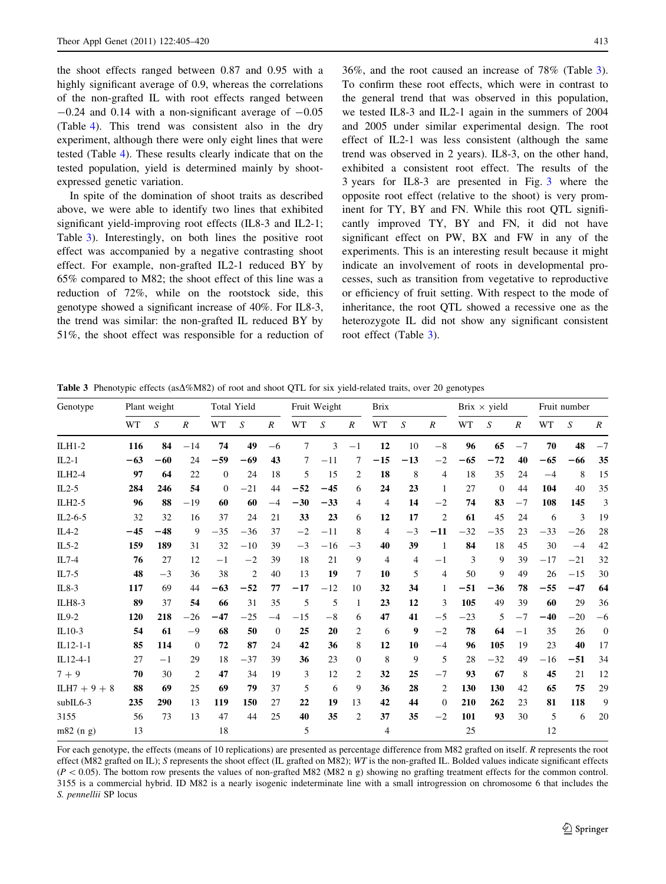<span id="page-8-0"></span>the shoot effects ranged between 0.87 and 0.95 with a highly significant average of 0.9, whereas the correlations of the non-grafted IL with root effects ranged between  $-0.24$  and 0.14 with a non-significant average of  $-0.05$ (Table [4](#page-9-0)). This trend was consistent also in the dry experiment, although there were only eight lines that were tested (Table [4](#page-9-0)). These results clearly indicate that on the tested population, yield is determined mainly by shootexpressed genetic variation.

In spite of the domination of shoot traits as described above, we were able to identify two lines that exhibited significant yield-improving root effects (IL8-3 and IL2-1; Table 3). Interestingly, on both lines the positive root effect was accompanied by a negative contrasting shoot effect. For example, non-grafted IL2-1 reduced BY by 65% compared to M82; the shoot effect of this line was a reduction of 72%, while on the rootstock side, this genotype showed a significant increase of 40%. For IL8-3, the trend was similar: the non-grafted IL reduced BY by 51%, the shoot effect was responsible for a reduction of 36%, and the root caused an increase of 78% (Table 3). To confirm these root effects, which were in contrast to the general trend that was observed in this population, we tested IL8-3 and IL2-1 again in the summers of 2004 and 2005 under similar experimental design. The root effect of IL2-1 was less consistent (although the same trend was observed in 2 years). IL8-3, on the other hand, exhibited a consistent root effect. The results of the 3 years for IL8-3 are presented in Fig. [3](#page-10-0) where the opposite root effect (relative to the shoot) is very prominent for TY, BY and FN. While this root QTL significantly improved TY, BY and FN, it did not have significant effect on PW, BX and FW in any of the experiments. This is an interesting result because it might indicate an involvement of roots in developmental processes, such as transition from vegetative to reproductive or efficiency of fruit setting. With respect to the mode of inheritance, the root QTL showed a recessive one as the heterozygote IL did not show any significant consistent root effect (Table 3).

**Table 3** Phenotypic effects ( $a\Delta\%MS2$ ) of root and shoot QTL for six yield-related traits, over 20 genotypes

| Genotype       | Plant weight |       |                  | Total Yield |                | Fruit Weight     |       | <b>Brix</b> |                  |                | Brix $\times$ yield |                  |       | Fruit number |                  |       |       |                  |
|----------------|--------------|-------|------------------|-------------|----------------|------------------|-------|-------------|------------------|----------------|---------------------|------------------|-------|--------------|------------------|-------|-------|------------------|
|                | WT           | S     | $\boldsymbol{R}$ | WT          | S              | $\boldsymbol{R}$ | WT    | S           | $\boldsymbol{R}$ | WT             | S                   | $\boldsymbol{R}$ | WT    | S            | $\boldsymbol{R}$ | WT    | S     | $\boldsymbol{R}$ |
| $ILH1-2$       | 116          | 84    | $-14$            | 74          | 49             | $-6$             | 7     | 3           | $-1$             | 12             | 10                  | $-8$             | 96    | 65           | $-7$             | 70    | 48    | $-7$             |
| $IL2-1$        | $-63$        | $-60$ | 24               | $-59$       | $-69$          | 43               | 7     | $-11$       | 7                | $-15$          | $-13$               | $-2$             | $-65$ | $-72$        | 40               | $-65$ | $-66$ | 35               |
| ILH2-4         | 97           | 64    | 22               | $\Omega$    | 24             | 18               | 5     | 15          | $\overline{c}$   | 18             | 8                   | $\overline{4}$   | 18    | 35           | 24               | $-4$  | 8     | 15               |
| $IL2-5$        | 284          | 246   | 54               | $\Omega$    | $-21$          | 44               | $-52$ | $-45$       | 6                | 24             | 23                  | $\mathbf{1}$     | 27    | $\mathbf{0}$ | 44               | 104   | 40    | 35               |
| ILH2-5         | 96           | 88    | $-19$            | 60          | 60             | $-4$             | $-30$ | $-33$       | 4                | $\overline{4}$ | 14                  | $-2$             | 74    | 83           | $-7$             | 108   | 145   | 3                |
| $IL2-6-5$      | 32           | 32    | 16               | 37          | 24             | 21               | 33    | 23          | 6                | 12             | 17                  | $\overline{2}$   | 61    | 45           | 24               | 6     | 3     | 19               |
| $IL4-2$        | $-45$        | $-48$ | 9                | $-35$       | $-36$          | 37               | $-2$  | $-11$       | 8                | 4              | $-3$                | $-11$            | $-32$ | $-35$        | 23               | $-33$ | $-26$ | 28               |
| $IL5-2$        | 159          | 189   | 31               | 32          | $-10$          | 39               | $-3$  | $-16$       | $-3$             | 40             | 39                  | 1                | 84    | 18           | 45               | 30    | $-4$  | 42               |
| $IL7-4$        | 76           | 27    | 12               | $-1$        | $-2$           | 39               | 18    | 21          | 9                | 4              | 4                   | $-1$             | 3     | 9            | 39               | $-17$ | $-21$ | 32               |
| $IL7-5$        | 48           | $-3$  | 36               | 38          | $\overline{2}$ | 40               | 13    | 19          | 7                | 10             | 5                   | $\overline{4}$   | 50    | 9            | 49               | 26    | $-15$ | 30               |
| $IL8-3$        | 117          | 69    | 44               | $-63$       | $-52$          | 77               | $-17$ | $-12$       | 10               | 32             | 34                  | 1                | $-51$ | $-36$        | 78               | $-55$ | $-47$ | 64               |
| ILH8-3         | 89           | 37    | 54               | 66          | 31             | 35               | 5     | 5           | 1                | 23             | 12                  | 3                | 105   | 49           | 39               | 60    | 29    | 36               |
| $IL9-2$        | 120          | 218   | $-26$            | $-47$       | $-25$          | $-4$             | $-15$ | $-8$        | 6                | 47             | 41                  | $-5$             | $-23$ | 5            | $-7$             | $-40$ | $-20$ | $-6$             |
| $IL10-3$       | 54           | 61    | $-9$             | 68          | 50             | $\Omega$         | 25    | 20          | 2                | 6              | 9                   | $-2$             | 78    | 64           | $-1$             | 35    | 26    | $\boldsymbol{0}$ |
| $IL12-1-1$     | 85           | 114   | $\overline{0}$   | 72          | 87             | 24               | 42    | 36          | 8                | 12             | 10                  | $-4$             | 96    | 105          | 19               | 23    | 40    | 17               |
| IL12-4-1       | 27           | $-1$  | 29               | 18          | $-37$          | 39               | 36    | 23          | $\Omega$         | 8              | 9                   | 5                | 28    | $-32$        | 49               | $-16$ | $-51$ | 34               |
| $7 + 9$        | 70           | 30    | $\overline{2}$   | 47          | 34             | 19               | 3     | 12          | 2                | 32             | 25                  | $-7$             | 93    | 67           | 8                | 45    | 21    | 12               |
| $ILH7 + 9 + 8$ | 88           | 69    | 25               | 69          | 79             | 37               | 5     | 6           | 9                | 36             | 28                  | 2                | 130   | 130          | 42               | 65    | 75    | 29               |
| $subIL6-3$     | 235          | 290   | 13               | 119         | 150            | 27               | 22    | 19          | 13               | 42             | 44                  | $\Omega$         | 210   | 262          | 23               | 81    | 118   | 9                |
| 3155           | 56           | 73    | 13               | 47          | 44             | 25               | 40    | 35          | $\overline{2}$   | 37             | 35                  | $-2$             | 101   | 93           | 30               | 5     | 6     | 20               |
| $m82$ (n g)    | 13           |       |                  | 18          |                |                  | 5     |             |                  | 4              |                     |                  | 25    |              |                  | 12    |       |                  |

For each genotype, the effects (means of 10 replications) are presented as percentage difference from M82 grafted on itself. R represents the root effect (M82 grafted on IL); S represents the shoot effect (IL grafted on M82); WT is the non-grafted IL. Bolded values indicate significant effects  $(P<0.05)$ . The bottom row presents the values of non-grafted M82 (M82 n g) showing no grafting treatment effects for the common control. 3155 is a commercial hybrid. ID M82 is a nearly isogenic indeterminate line with a small introgression on chromosome 6 that includes the S. pennellii SP locus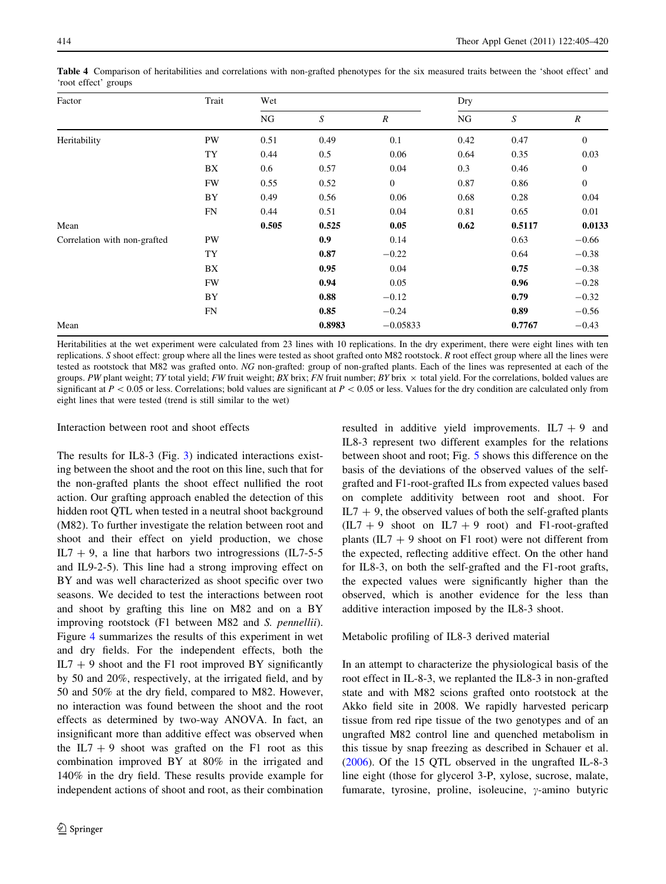| Factor                       | Trait     | Wet   |        |                | Dry  |        |                  |  |
|------------------------------|-----------|-------|--------|----------------|------|--------|------------------|--|
|                              |           | NG    | S      | $\overline{R}$ | NG   | S      | $\boldsymbol{R}$ |  |
| Heritability                 | PW        | 0.51  | 0.49   | 0.1            | 0.42 | 0.47   | $\mathbf{0}$     |  |
|                              | TY        | 0.44  | 0.5    | 0.06           | 0.64 | 0.35   | 0.03             |  |
|                              | BX        | 0.6   | 0.57   | 0.04           | 0.3  | 0.46   | $\boldsymbol{0}$ |  |
|                              | <b>FW</b> | 0.55  | 0.52   | $\mathbf{0}$   | 0.87 | 0.86   | $\mathbf{0}$     |  |
|                              | BY        | 0.49  | 0.56   | 0.06           | 0.68 | 0.28   | 0.04             |  |
|                              | FN        | 0.44  | 0.51   | 0.04           | 0.81 | 0.65   | 0.01             |  |
| Mean                         |           | 0.505 | 0.525  | 0.05           | 0.62 | 0.5117 | 0.0133           |  |
| Correlation with non-grafted | PW        |       | 0.9    | 0.14           |      | 0.63   | $-0.66$          |  |
|                              | TY        |       | 0.87   | $-0.22$        |      | 0.64   | $-0.38$          |  |
|                              | BX        |       | 0.95   | 0.04           |      | 0.75   | $-0.38$          |  |
|                              | <b>FW</b> |       | 0.94   | 0.05           |      | 0.96   | $-0.28$          |  |
|                              | BY        |       | 0.88   | $-0.12$        |      | 0.79   | $-0.32$          |  |
|                              | FN        |       | 0.85   | $-0.24$        |      | 0.89   | $-0.56$          |  |
| Mean                         |           |       | 0.8983 | $-0.05833$     |      | 0.7767 | $-0.43$          |  |

<span id="page-9-0"></span>Table 4 Comparison of heritabilities and correlations with non-grafted phenotypes for the six measured traits between the 'shoot effect' and 'root effect' groups

Heritabilities at the wet experiment were calculated from 23 lines with 10 replications. In the dry experiment, there were eight lines with ten replications. S shoot effect: group where all the lines were tested as shoot grafted onto M82 rootstock. R root effect group where all the lines were tested as rootstock that M82 was grafted onto. NG non-grafted: group of non-grafted plants. Each of the lines was represented at each of the groups. PW plant weight; TY total yield; FW fruit weight; BX brix; FN fruit number; BY brix  $\times$  total yield. For the correlations, bolded values are significant at  $P < 0.05$  or less. Correlations; bold values are significant at  $P < 0.05$  or less. Values for the dry condition are calculated only from eight lines that were tested (trend is still similar to the wet)

# Interaction between root and shoot effects

The results for IL8-3 (Fig. [3](#page-10-0)) indicated interactions existing between the shoot and the root on this line, such that for the non-grafted plants the shoot effect nullified the root action. Our grafting approach enabled the detection of this hidden root QTL when tested in a neutral shoot background (M82). To further investigate the relation between root and shoot and their effect on yield production, we chose IL7  $+$  9, a line that harbors two introgressions (IL7-5-5 and IL9-2-5). This line had a strong improving effect on BY and was well characterized as shoot specific over two seasons. We decided to test the interactions between root and shoot by grafting this line on M82 and on a BY improving rootstock (F1 between M82 and S. pennellii). Figure [4](#page-11-0) summarizes the results of this experiment in wet and dry fields. For the independent effects, both the  $IL7 + 9$  shoot and the F1 root improved BY significantly by 50 and 20%, respectively, at the irrigated field, and by 50 and 50% at the dry field, compared to M82. However, no interaction was found between the shoot and the root effects as determined by two-way ANOVA. In fact, an insignificant more than additive effect was observed when the  $IL7 + 9$  shoot was grafted on the F1 root as this combination improved BY at 80% in the irrigated and 140% in the dry field. These results provide example for independent actions of shoot and root, as their combination resulted in additive yield improvements.  $IL7 + 9$  and IL8-3 represent two different examples for the relations between shoot and root; Fig. [5](#page-11-0) shows this difference on the basis of the deviations of the observed values of the selfgrafted and F1-root-grafted ILs from expected values based on complete additivity between root and shoot. For  $IL7 + 9$ , the observed values of both the self-grafted plants  $(IL7 + 9 \text{ shoot on } IL7 + 9 \text{ root})$  and F1-root-grafted plants  $(IL7 + 9$  shoot on F1 root) were not different from the expected, reflecting additive effect. On the other hand for IL8-3, on both the self-grafted and the F1-root grafts, the expected values were significantly higher than the observed, which is another evidence for the less than additive interaction imposed by the IL8-3 shoot.

# Metabolic profiling of IL8-3 derived material

In an attempt to characterize the physiological basis of the root effect in IL-8-3, we replanted the IL8-3 in non-grafted state and with M82 scions grafted onto rootstock at the Akko field site in 2008. We rapidly harvested pericarp tissue from red ripe tissue of the two genotypes and of an ungrafted M82 control line and quenched metabolism in this tissue by snap freezing as described in Schauer et al. [\(2006](#page-15-0)). Of the 15 QTL observed in the ungrafted IL-8-3 line eight (those for glycerol 3-P, xylose, sucrose, malate, fumarate, tyrosine, proline, isoleucine,  $\gamma$ -amino butyric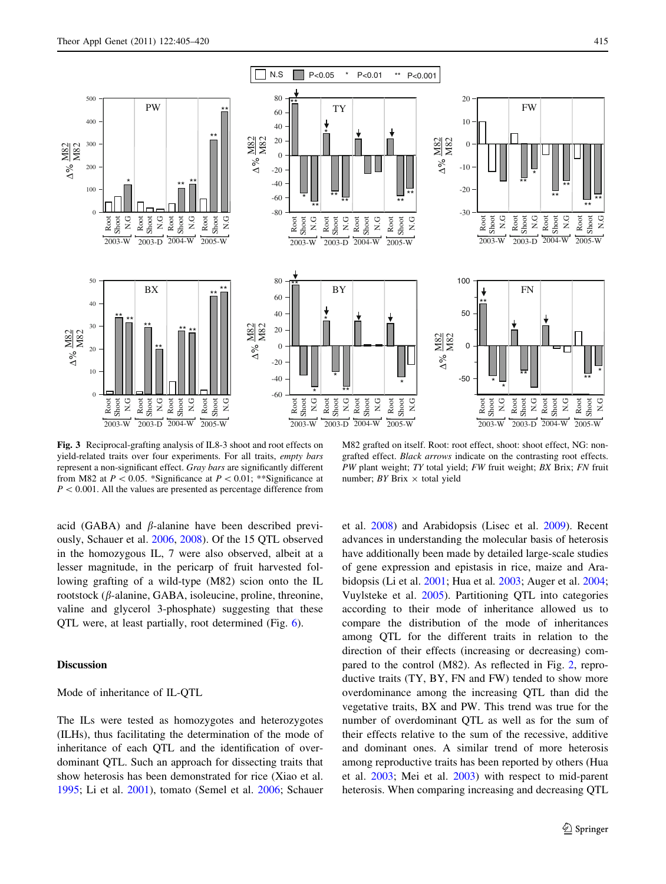<span id="page-10-0"></span>

Fig. 3 Reciprocal-grafting analysis of IL8-3 shoot and root effects on yield-related traits over four experiments. For all traits, empty bars represent a non-significant effect. Gray bars are significantly different from M82 at  $P < 0.05$ . \*Significance at  $P < 0.01$ ; \*\*Significance at  $P < 0.001$ . All the values are presented as percentage difference from

M82 grafted on itself. Root: root effect, shoot: shoot effect, NG: nongrafted effect. Black arrows indicate on the contrasting root effects. PW plant weight; TY total yield; FW fruit weight; BX Brix; FN fruit number;  $BY$  Brix  $\times$  total yield

acid (GABA) and  $\beta$ -alanine have been described previously, Schauer et al. [2006,](#page-15-0) [2008\)](#page-15-0). Of the 15 QTL observed in the homozygous IL, 7 were also observed, albeit at a lesser magnitude, in the pericarp of fruit harvested following grafting of a wild-type (M82) scion onto the IL rootstock ( $\beta$ -alanine, GABA, isoleucine, proline, threonine, valine and glycerol 3-phosphate) suggesting that these QTL were, at least partially, root determined (Fig. [6\)](#page-12-0).

## Discussion

#### Mode of inheritance of IL-QTL

The ILs were tested as homozygotes and heterozygotes (ILHs), thus facilitating the determination of the mode of inheritance of each QTL and the identification of overdominant QTL. Such an approach for dissecting traits that show heterosis has been demonstrated for rice (Xiao et al. [1995;](#page-15-0) Li et al. [2001\)](#page-14-0), tomato (Semel et al. [2006;](#page-15-0) Schauer et al. [2008\)](#page-15-0) and Arabidopsis (Lisec et al. [2009](#page-14-0)). Recent advances in understanding the molecular basis of heterosis have additionally been made by detailed large-scale studies of gene expression and epistasis in rice, maize and Arabidopsis (Li et al. [2001](#page-14-0); Hua et al. [2003](#page-14-0); Auger et al. [2004](#page-14-0); Vuylsteke et al. [2005](#page-15-0)). Partitioning QTL into categories according to their mode of inheritance allowed us to compare the distribution of the mode of inheritances among QTL for the different traits in relation to the direction of their effects (increasing or decreasing) compared to the control (M82). As reflected in Fig. [2](#page-7-0), reproductive traits (TY, BY, FN and FW) tended to show more overdominance among the increasing QTL than did the vegetative traits, BX and PW. This trend was true for the number of overdominant QTL as well as for the sum of their effects relative to the sum of the recessive, additive and dominant ones. A similar trend of more heterosis among reproductive traits has been reported by others (Hua et al. [2003;](#page-14-0) Mei et al. [2003](#page-15-0)) with respect to mid-parent heterosis. When comparing increasing and decreasing QTL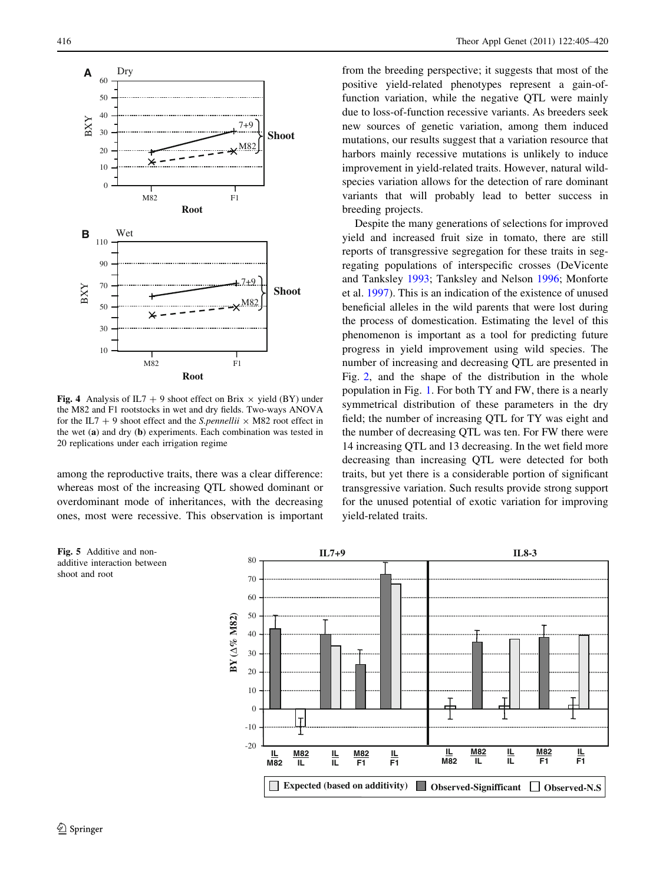<span id="page-11-0"></span>

Fig. 4 Analysis of IL7 + 9 shoot effect on Brix  $\times$  yield (BY) under the M82 and F1 rootstocks in wet and dry fields. Two-ways ANOVA for the IL7 + 9 shoot effect and the S.pennellii  $\times$  M82 root effect in the wet (a) and dry (b) experiments. Each combination was tested in 20 replications under each irrigation regime

among the reproductive traits, there was a clear difference: whereas most of the increasing QTL showed dominant or overdominant mode of inheritances, with the decreasing ones, most were recessive. This observation is important

from the breeding perspective; it suggests that most of the positive yield-related phenotypes represent a gain-offunction variation, while the negative QTL were mainly due to loss-of-function recessive variants. As breeders seek new sources of genetic variation, among them induced mutations, our results suggest that a variation resource that harbors mainly recessive mutations is unlikely to induce improvement in yield-related traits. However, natural wildspecies variation allows for the detection of rare dominant variants that will probably lead to better success in breeding projects.

Despite the many generations of selections for improved yield and increased fruit size in tomato, there are still reports of transgressive segregation for these traits in segregating populations of interspecific crosses (DeVicente and Tanksley [1993](#page-14-0); Tanksley and Nelson [1996](#page-15-0); Monforte et al. [1997](#page-15-0)). This is an indication of the existence of unused beneficial alleles in the wild parents that were lost during the process of domestication. Estimating the level of this phenomenon is important as a tool for predicting future progress in yield improvement using wild species. The number of increasing and decreasing QTL are presented in Fig. [2](#page-7-0), and the shape of the distribution in the whole population in Fig. [1.](#page-6-0) For both TY and FW, there is a nearly symmetrical distribution of these parameters in the dry field; the number of increasing QTL for TY was eight and the number of decreasing QTL was ten. For FW there were 14 increasing QTL and 13 decreasing. In the wet field more decreasing than increasing QTL were detected for both traits, but yet there is a considerable portion of significant transgressive variation. Such results provide strong support for the unused potential of exotic variation for improving yield-related traits.



Fig. 5 Additive and nonadditive interaction between shoot and root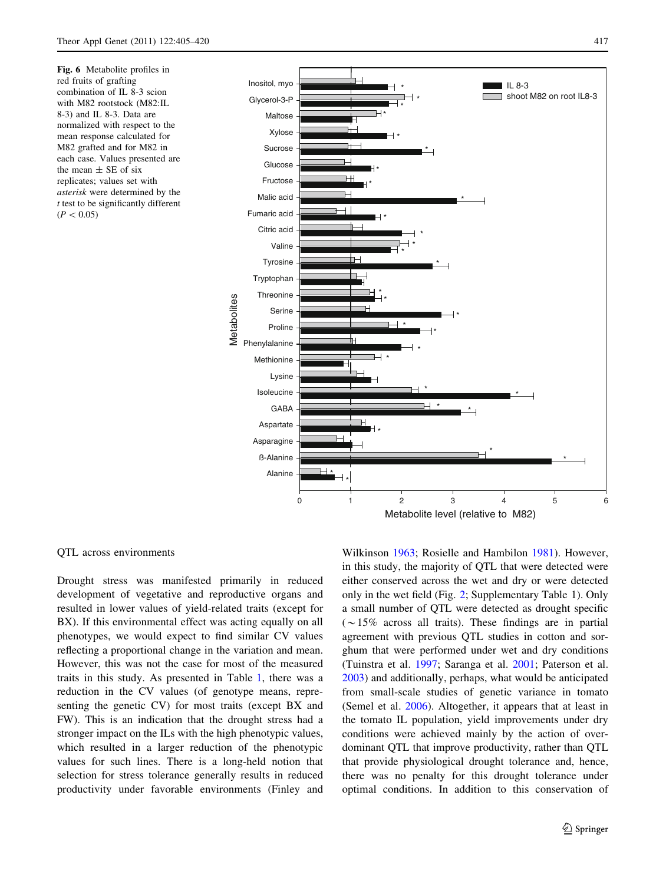<span id="page-12-0"></span>Fig. 6 Metabolite profiles in red fruits of grafting combination of IL 8-3 scion with M82 rootstock (M82:IL 8-3) and IL 8-3. Data are normalized with respect to the mean response calculated for M82 grafted and for M82 in each case. Values presented are the mean  $\pm$  SE of six replicates; values set with asterisk were determined by the  $t$  test to be significantly different  $(P<0.05)$ 



#### QTL across environments

Drought stress was manifested primarily in reduced development of vegetative and reproductive organs and resulted in lower values of yield-related traits (except for BX). If this environmental effect was acting equally on all phenotypes, we would expect to find similar CV values reflecting a proportional change in the variation and mean. However, this was not the case for most of the measured traits in this study. As presented in Table [1](#page-4-0), there was a reduction in the CV values (of genotype means, representing the genetic CV) for most traits (except BX and FW). This is an indication that the drought stress had a stronger impact on the ILs with the high phenotypic values, which resulted in a larger reduction of the phenotypic values for such lines. There is a long-held notion that selection for stress tolerance generally results in reduced productivity under favorable environments (Finley and

Wilkinson [1963](#page-14-0); Rosielle and Hambilon [1981\)](#page-15-0). However, in this study, the majority of QTL that were detected were either conserved across the wet and dry or were detected only in the wet field (Fig. [2](#page-7-0); Supplementary Table 1). Only a small number of QTL were detected as drought specific  $(\sim 15\%$  across all traits). These findings are in partial agreement with previous QTL studies in cotton and sorghum that were performed under wet and dry conditions (Tuinstra et al. [1997](#page-15-0); Saranga et al. [2001;](#page-15-0) Paterson et al. [2003](#page-15-0)) and additionally, perhaps, what would be anticipated from small-scale studies of genetic variance in tomato (Semel et al. [2006\)](#page-15-0). Altogether, it appears that at least in the tomato IL population, yield improvements under dry conditions were achieved mainly by the action of overdominant QTL that improve productivity, rather than QTL that provide physiological drought tolerance and, hence, there was no penalty for this drought tolerance under optimal conditions. In addition to this conservation of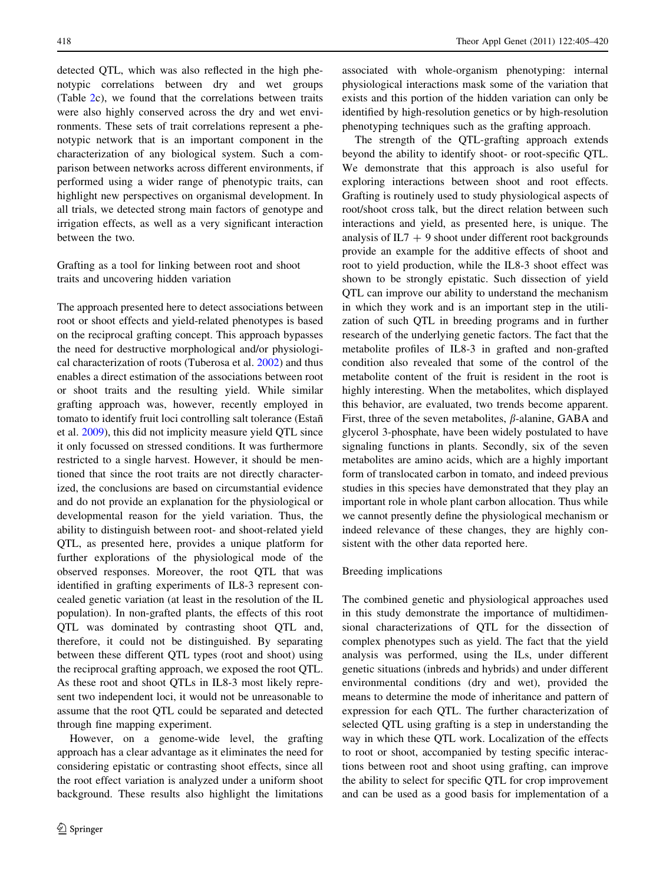detected QTL, which was also reflected in the high phenotypic correlations between dry and wet groups (Table [2](#page-5-0)c), we found that the correlations between traits were also highly conserved across the dry and wet environments. These sets of trait correlations represent a phenotypic network that is an important component in the characterization of any biological system. Such a comparison between networks across different environments, if performed using a wider range of phenotypic traits, can highlight new perspectives on organismal development. In all trials, we detected strong main factors of genotype and irrigation effects, as well as a very significant interaction between the two.

# Grafting as a tool for linking between root and shoot traits and uncovering hidden variation

The approach presented here to detect associations between root or shoot effects and yield-related phenotypes is based on the reciprocal grafting concept. This approach bypasses the need for destructive morphological and/or physiological characterization of roots (Tuberosa et al. [2002\)](#page-15-0) and thus enables a direct estimation of the associations between root or shoot traits and the resulting yield. While similar grafting approach was, however, recently employed in tomato to identify fruit loci controlling salt tolerance (Estañ et al. [2009](#page-14-0)), this did not implicity measure yield QTL since it only focussed on stressed conditions. It was furthermore restricted to a single harvest. However, it should be mentioned that since the root traits are not directly characterized, the conclusions are based on circumstantial evidence and do not provide an explanation for the physiological or developmental reason for the yield variation. Thus, the ability to distinguish between root- and shoot-related yield QTL, as presented here, provides a unique platform for further explorations of the physiological mode of the observed responses. Moreover, the root QTL that was identified in grafting experiments of IL8-3 represent concealed genetic variation (at least in the resolution of the IL population). In non-grafted plants, the effects of this root QTL was dominated by contrasting shoot QTL and, therefore, it could not be distinguished. By separating between these different QTL types (root and shoot) using the reciprocal grafting approach, we exposed the root QTL. As these root and shoot QTLs in IL8-3 most likely represent two independent loci, it would not be unreasonable to assume that the root QTL could be separated and detected through fine mapping experiment.

However, on a genome-wide level, the grafting approach has a clear advantage as it eliminates the need for considering epistatic or contrasting shoot effects, since all the root effect variation is analyzed under a uniform shoot background. These results also highlight the limitations

associated with whole-organism phenotyping: internal physiological interactions mask some of the variation that exists and this portion of the hidden variation can only be identified by high-resolution genetics or by high-resolution phenotyping techniques such as the grafting approach.

The strength of the QTL-grafting approach extends beyond the ability to identify shoot- or root-specific QTL. We demonstrate that this approach is also useful for exploring interactions between shoot and root effects. Grafting is routinely used to study physiological aspects of root/shoot cross talk, but the direct relation between such interactions and yield, as presented here, is unique. The analysis of  $IL7 + 9$  shoot under different root backgrounds provide an example for the additive effects of shoot and root to yield production, while the IL8-3 shoot effect was shown to be strongly epistatic. Such dissection of yield QTL can improve our ability to understand the mechanism in which they work and is an important step in the utilization of such QTL in breeding programs and in further research of the underlying genetic factors. The fact that the metabolite profiles of IL8-3 in grafted and non-grafted condition also revealed that some of the control of the metabolite content of the fruit is resident in the root is highly interesting. When the metabolites, which displayed this behavior, are evaluated, two trends become apparent. First, three of the seven metabolites,  $\beta$ -alanine, GABA and glycerol 3-phosphate, have been widely postulated to have signaling functions in plants. Secondly, six of the seven metabolites are amino acids, which are a highly important form of translocated carbon in tomato, and indeed previous studies in this species have demonstrated that they play an important role in whole plant carbon allocation. Thus while we cannot presently define the physiological mechanism or indeed relevance of these changes, they are highly consistent with the other data reported here.

## Breeding implications

The combined genetic and physiological approaches used in this study demonstrate the importance of multidimensional characterizations of QTL for the dissection of complex phenotypes such as yield. The fact that the yield analysis was performed, using the ILs, under different genetic situations (inbreds and hybrids) and under different environmental conditions (dry and wet), provided the means to determine the mode of inheritance and pattern of expression for each QTL. The further characterization of selected QTL using grafting is a step in understanding the way in which these QTL work. Localization of the effects to root or shoot, accompanied by testing specific interactions between root and shoot using grafting, can improve the ability to select for specific QTL for crop improvement and can be used as a good basis for implementation of a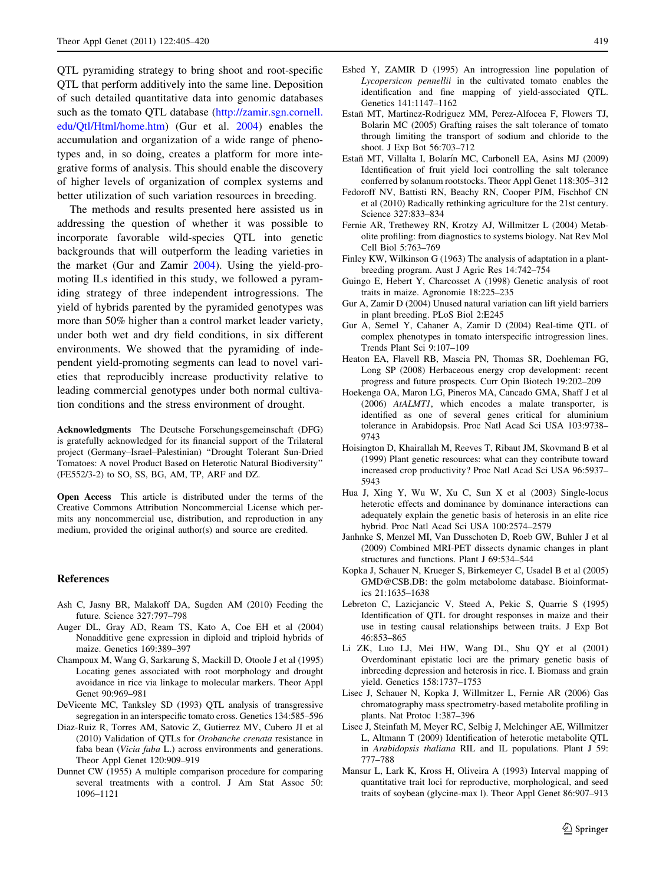<span id="page-14-0"></span>QTL pyramiding strategy to bring shoot and root-specific QTL that perform additively into the same line. Deposition of such detailed quantitative data into genomic databases such as the tomato QTL database [\(http://zamir.sgn.cornell.](http://zamir.sgn.cornell.edu/Qtl/Html/home.htm) [edu/Qtl/Html/home.htm\)](http://zamir.sgn.cornell.edu/Qtl/Html/home.htm) (Gur et al. 2004) enables the accumulation and organization of a wide range of phenotypes and, in so doing, creates a platform for more integrative forms of analysis. This should enable the discovery of higher levels of organization of complex systems and better utilization of such variation resources in breeding.

The methods and results presented here assisted us in addressing the question of whether it was possible to incorporate favorable wild-species QTL into genetic backgrounds that will outperform the leading varieties in the market (Gur and Zamir 2004). Using the yield-promoting ILs identified in this study, we followed a pyramiding strategy of three independent introgressions. The yield of hybrids parented by the pyramided genotypes was more than 50% higher than a control market leader variety, under both wet and dry field conditions, in six different environments. We showed that the pyramiding of independent yield-promoting segments can lead to novel varieties that reproducibly increase productivity relative to leading commercial genotypes under both normal cultivation conditions and the stress environment of drought.

Acknowledgments The Deutsche Forschungsgemeinschaft (DFG) is gratefully acknowledged for its financial support of the Trilateral project (Germany–Israel–Palestinian) ''Drought Tolerant Sun-Dried Tomatoes: A novel Product Based on Heterotic Natural Biodiversity'' (FE552/3-2) to SO, SS, BG, AM, TP, ARF and DZ.

Open Access This article is distributed under the terms of the Creative Commons Attribution Noncommercial License which permits any noncommercial use, distribution, and reproduction in any medium, provided the original author(s) and source are credited.

## References

- Ash C, Jasny BR, Malakoff DA, Sugden AM (2010) Feeding the future. Science 327:797–798
- Auger DL, Gray AD, Ream TS, Kato A, Coe EH et al (2004) Nonadditive gene expression in diploid and triploid hybrids of maize. Genetics 169:389–397
- Champoux M, Wang G, Sarkarung S, Mackill D, Otoole J et al (1995) Locating genes associated with root morphology and drought avoidance in rice via linkage to molecular markers. Theor Appl Genet 90:969–981
- DeVicente MC, Tanksley SD (1993) QTL analysis of transgressive segregation in an interspecific tomato cross. Genetics 134:585–596
- Diaz-Ruiz R, Torres AM, Satovic Z, Gutierrez MV, Cubero JI et al (2010) Validation of QTLs for Orobanche crenata resistance in faba bean (Vicia faba L.) across environments and generations. Theor Appl Genet 120:909–919
- Dunnet CW (1955) A multiple comparison procedure for comparing several treatments with a control. J Am Stat Assoc 50: 1096–1121
- Eshed Y, ZAMIR D (1995) An introgression line population of Lycopersicon pennellii in the cultivated tomato enables the identification and fine mapping of yield-associated QTL. Genetics 141:1147–1162
- Estañ MT, Martinez-Rodriguez MM, Perez-Alfocea F, Flowers TJ, Bolarin MC (2005) Grafting raises the salt tolerance of tomato through limiting the transport of sodium and chloride to the shoot. J Exp Bot 56:703–712
- Estañ MT, Villalta I, Bolarín MC, Carbonell EA, Asins MJ (2009) Identification of fruit yield loci controlling the salt tolerance conferred by solanum rootstocks. Theor Appl Genet 118:305–312
- Fedoroff NV, Battisti RN, Beachy RN, Cooper PJM, Fischhof CN et al (2010) Radically rethinking agriculture for the 21st century. Science 327:833–834
- Fernie AR, Trethewey RN, Krotzy AJ, Willmitzer L (2004) Metabolite profiling: from diagnostics to systems biology. Nat Rev Mol Cell Biol 5:763–769
- Finley KW, Wilkinson G (1963) The analysis of adaptation in a plantbreeding program. Aust J Agric Res 14:742–754
- Guingo E, Hebert Y, Charcosset A (1998) Genetic analysis of root traits in maize. Agronomie 18:225–235
- Gur A, Zamir D (2004) Unused natural variation can lift yield barriers in plant breeding. PLoS Biol 2:E245
- Gur A, Semel Y, Cahaner A, Zamir D (2004) Real-time QTL of complex phenotypes in tomato interspecific introgression lines. Trends Plant Sci 9:107–109
- Heaton EA, Flavell RB, Mascia PN, Thomas SR, Doehleman FG, Long SP (2008) Herbaceous energy crop development: recent progress and future prospects. Curr Opin Biotech 19:202–209
- Hoekenga OA, Maron LG, Pineros MA, Cancado GMA, Shaff J et al (2006) AtALMT1, which encodes a malate transporter, is identified as one of several genes critical for aluminium tolerance in Arabidopsis. Proc Natl Acad Sci USA 103:9738– 9743
- Hoisington D, Khairallah M, Reeves T, Ribaut JM, Skovmand B et al (1999) Plant genetic resources: what can they contribute toward increased crop productivity? Proc Natl Acad Sci USA 96:5937– 5943
- Hua J, Xing Y, Wu W, Xu C, Sun X et al (2003) Single-locus heterotic effects and dominance by dominance interactions can adequately explain the genetic basis of heterosis in an elite rice hybrid. Proc Natl Acad Sci USA 100:2574–2579
- Janhnke S, Menzel MI, Van Dusschoten D, Roeb GW, Buhler J et al (2009) Combined MRI-PET dissects dynamic changes in plant structures and functions. Plant J 69:534–544
- Kopka J, Schauer N, Krueger S, Birkemeyer C, Usadel B et al (2005) GMD@CSB.DB: the golm metabolome database. Bioinformatics 21:1635–1638
- Lebreton C, Lazicjancic V, Steed A, Pekic S, Quarrie S (1995) Identification of QTL for drought responses in maize and their use in testing causal relationships between traits. J Exp Bot 46:853–865
- Li ZK, Luo LJ, Mei HW, Wang DL, Shu QY et al (2001) Overdominant epistatic loci are the primary genetic basis of inbreeding depression and heterosis in rice. I. Biomass and grain yield. Genetics 158:1737–1753
- Lisec J, Schauer N, Kopka J, Willmitzer L, Fernie AR (2006) Gas chromatography mass spectrometry-based metabolite profiling in plants. Nat Protoc 1:387–396
- Lisec J, Steinfath M, Meyer RC, Selbig J, Melchinger AE, Willmitzer L, Altmann T (2009) Identification of heterotic metabolite QTL in Arabidopsis thaliana RIL and IL populations. Plant J 59: 777–788
- Mansur L, Lark K, Kross H, Oliveira A (1993) Interval mapping of quantitative trait loci for reproductive, morphological, and seed traits of soybean (glycine-max l). Theor Appl Genet 86:907–913